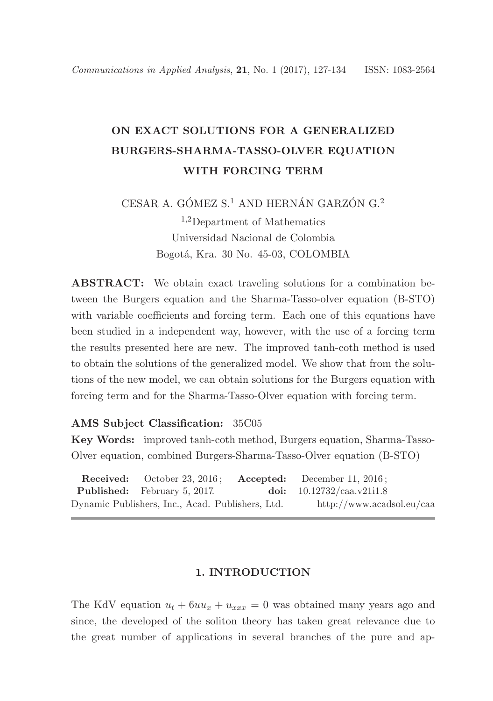# ON EXACT SOLUTIONS FOR A GENERALIZED BURGERS-SHARMA-TASSO-OLVER EQUATION WITH FORCING TERM

CESAR A. GÓMEZ S.<sup>1</sup> AND HERNÁN GARZÓN G.<sup>2</sup> <sup>1</sup>,2Department of Mathematics Universidad Nacional de Colombia Bogotá, Kra. 30 No. 45-03, COLOMBIA

ABSTRACT: We obtain exact traveling solutions for a combination between the Burgers equation and the Sharma-Tasso-olver equation (B-STO) with variable coefficients and forcing term. Each one of this equations have been studied in a independent way, however, with the use of a forcing term the results presented here are new. The improved tanh-coth method is used to obtain the solutions of the generalized model. We show that from the solutions of the new model, we can obtain solutions for the Burgers equation with forcing term and for the Sharma-Tasso-Olver equation with forcing term.

### AMS Subject Classification: 35C05

Key Words: improved tanh-coth method, Burgers equation, Sharma-Tasso-Olver equation, combined Burgers-Sharma-Tasso-Olver equation (B-STO)

|                                                  |                                     |  | <b>Received:</b> October 23, 2016; <b>Accepted:</b> December 11, 2016; |  |
|--------------------------------------------------|-------------------------------------|--|------------------------------------------------------------------------|--|
|                                                  | <b>Published:</b> February 5, 2017. |  | doi: $10.12732$ /caa.v21i1.8                                           |  |
| Dynamic Publishers, Inc., Acad. Publishers, Ltd. |                                     |  | $\frac{http://www.acadsol.eu/caa}{}$                                   |  |

### 1. INTRODUCTION

The KdV equation  $u_t + 6uu_x + u_{xxx} = 0$  was obtained many years ago and since, the developed of the soliton theory has taken great relevance due to the great number of applications in several branches of the pure and ap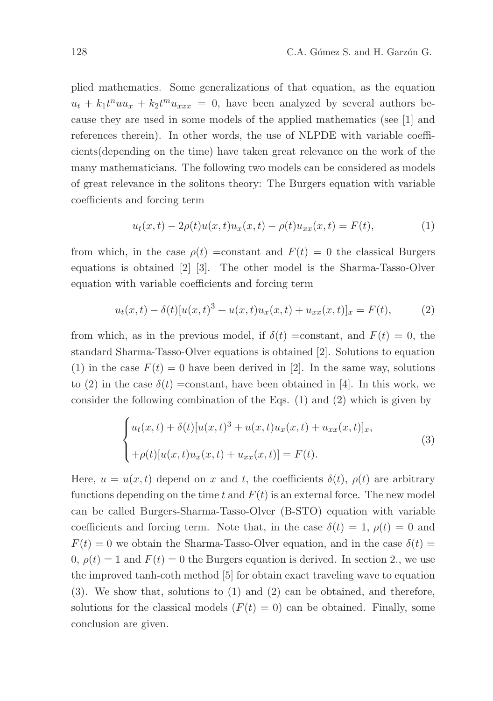plied mathematics. Some generalizations of that equation, as the equation  $u_t + k_1 t^n u_x + k_2 t^m u_{xxx} = 0$ , have been analyzed by several authors because they are used in some models of the applied mathematics (see [1] and references therein). In other words, the use of NLPDE with variable coefficients(depending on the time) have taken great relevance on the work of the many mathematicians. The following two models can be considered as models of great relevance in the solitons theory: The Burgers equation with variable coefficients and forcing term

$$
u_t(x,t) - 2\rho(t)u(x,t)u_x(x,t) - \rho(t)u_{xx}(x,t) = F(t),
$$
\n(1)

from which, in the case  $\rho(t)$  =constant and  $F(t) = 0$  the classical Burgers equations is obtained [2] [3]. The other model is the Sharma-Tasso-Olver equation with variable coefficients and forcing term

$$
u_t(x,t) - \delta(t)[u(x,t)^3 + u(x,t)u_x(x,t) + u_{xx}(x,t)]_x = F(t),
$$
 (2)

from which, as in the previous model, if  $\delta(t)$  =constant, and  $F(t) = 0$ , the standard Sharma-Tasso-Olver equations is obtained [2]. Solutions to equation (1) in the case  $F(t) = 0$  have been derived in [2]. In the same way, solutions to (2) in the case  $\delta(t)$  =constant, have been obtained in [4]. In this work, we consider the following combination of the Eqs. (1) and (2) which is given by

$$
\begin{cases}\n u_t(x,t) + \delta(t)[u(x,t)^3 + u(x,t)u_x(x,t) + u_{xx}(x,t)]_x, \\
 + \rho(t)[u(x,t)u_x(x,t) + u_{xx}(x,t)] = F(t).\n\end{cases}
$$
\n(3)

Here,  $u = u(x, t)$  depend on x and t, the coefficients  $\delta(t)$ ,  $\rho(t)$  are arbitrary functions depending on the time t and  $F(t)$  is an external force. The new model can be called Burgers-Sharma-Tasso-Olver (B-STO) equation with variable coefficients and forcing term. Note that, in the case  $\delta(t) = 1$ ,  $\rho(t) = 0$  and  $F(t) = 0$  we obtain the Sharma-Tasso-Olver equation, and in the case  $\delta(t) =$ 0,  $\rho(t) = 1$  and  $F(t) = 0$  the Burgers equation is derived. In section 2, we use the improved tanh-coth method [5] for obtain exact traveling wave to equation (3). We show that, solutions to (1) and (2) can be obtained, and therefore, solutions for the classical models  $(F(t) = 0)$  can be obtained. Finally, some conclusion are given.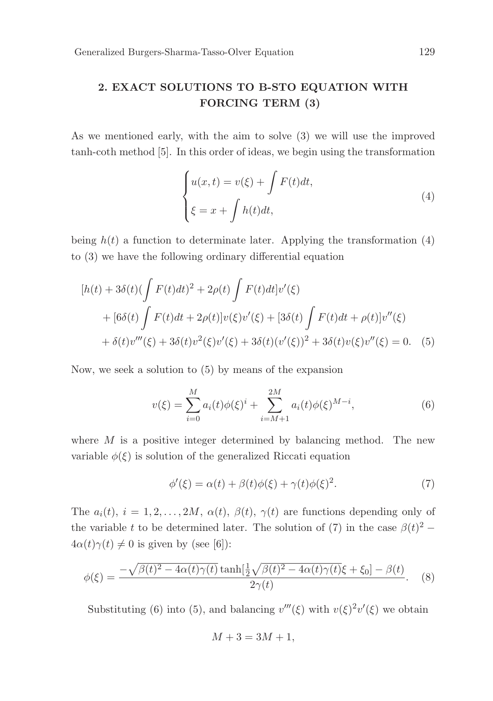# 2. EXACT SOLUTIONS TO B-STO EQUATION WITH FORCING TERM (3)

As we mentioned early, with the aim to solve (3) we will use the improved tanh-coth method [5]. In this order of ideas, we begin using the transformation

$$
\begin{cases}\nu(x,t) = v(\xi) + \int F(t)dt, \\
\xi = x + \int h(t)dt,\n\end{cases} \tag{4}
$$

being  $h(t)$  a function to determinate later. Applying the transformation (4) to (3) we have the following ordinary differential equation

$$
[h(t) + 3\delta(t)(\int F(t)dt)^2 + 2\rho(t)\int F(t)dt]v'(\xi)
$$
  
+ 
$$
[6\delta(t)\int F(t)dt + 2\rho(t)]v(\xi)v'(\xi) + [3\delta(t)\int F(t)dt + \rho(t)]v''(\xi)
$$
  
+ 
$$
\delta(t)v'''(\xi) + 3\delta(t)v^2(\xi)v'(\xi) + 3\delta(t)(v'(\xi))^2 + 3\delta(t)v(\xi)v''(\xi) = 0.
$$
 (5)

Now, we seek a solution to (5) by means of the expansion

$$
v(\xi) = \sum_{i=0}^{M} a_i(t)\phi(\xi)^i + \sum_{i=M+1}^{2M} a_i(t)\phi(\xi)^{M-i},
$$
\n(6)

where  $M$  is a positive integer determined by balancing method. The new variable  $\phi(\xi)$  is solution of the generalized Riccati equation

$$
\phi'(\xi) = \alpha(t) + \beta(t)\phi(\xi) + \gamma(t)\phi(\xi)^2.
$$
\n(7)

The  $a_i(t)$ ,  $i = 1, 2, ..., 2M$ ,  $\alpha(t)$ ,  $\beta(t)$ ,  $\gamma(t)$  are functions depending only of the variable t to be determined later. The solution of (7) in the case  $\beta(t)^2$  –  $4\alpha(t)\gamma(t) \neq 0$  is given by (see [6]):

$$
\phi(\xi) = \frac{-\sqrt{\beta(t)^2 - 4\alpha(t)\gamma(t)}\tanh[\frac{1}{2}\sqrt{\beta(t)^2 - 4\alpha(t)\gamma(t)}\xi + \xi_0] - \beta(t)}{2\gamma(t)}.\tag{8}
$$

Substituting (6) into (5), and balancing  $v'''(\xi)$  with  $v(\xi)^2 v'(\xi)$  we obtain

$$
M + 3 = 3M + 1,
$$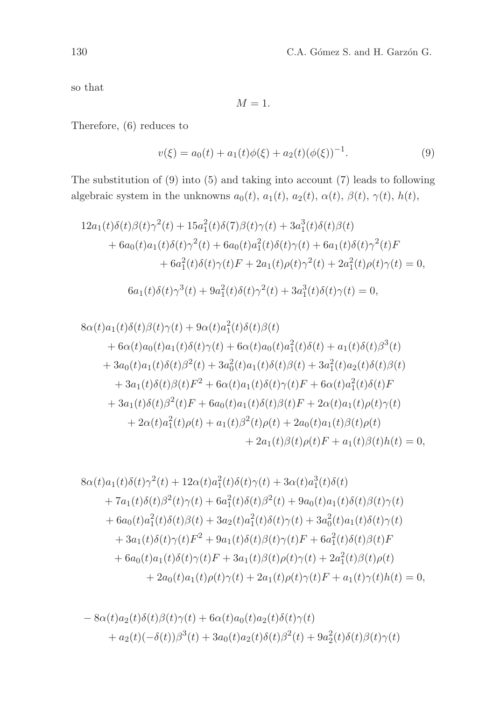so that

$$
M=1.
$$

Therefore, (6) reduces to

$$
v(\xi) = a_0(t) + a_1(t)\phi(\xi) + a_2(t)(\phi(\xi))^{-1}.
$$
\n(9)

The substitution of (9) into (5) and taking into account (7) leads to following algebraic system in the unknowns  $a_0(t)$ ,  $a_1(t)$ ,  $a_2(t)$ ,  $\alpha(t)$ ,  $\beta(t)$ ,  $\gamma(t)$ ,  $h(t)$ ,

$$
12a_1(t)\delta(t)\beta(t)\gamma^2(t) + 15a_1^2(t)\delta(7)\beta(t)\gamma(t) + 3a_1^3(t)\delta(t)\beta(t) + 6a_0(t)a_1(t)\delta(t)\gamma^2(t) + 6a_0(t)a_1^2(t)\delta(t)\gamma(t) + 6a_1(t)\delta(t)\gamma^2(t)F + 6a_1^2(t)\delta(t)\gamma(t)F + 2a_1(t)\rho(t)\gamma^2(t) + 2a_1^2(t)\rho(t)\gamma(t) = 0,
$$
  

$$
6a_1(t)\delta(t)\gamma^3(t) + 9a_1^2(t)\delta(t)\gamma^2(t) + 3a_1^3(t)\delta(t)\gamma(t) = 0,
$$

$$
8\alpha(t)a_1(t)\delta(t)\beta(t)\gamma(t) + 9\alpha(t)a_1(t)\delta(t)\beta(t)
$$
  
+  $6\alpha(t)a_0(t)a_1(t)\delta(t)\gamma(t) + 6\alpha(t)a_0(t)a_1(t)\delta(t) + a_1(t)\delta(t)\beta^3(t)$   
+  $3a_0(t)a_1(t)\delta(t)\beta^2(t) + 3a_0^2(t)a_1(t)\delta(t)\beta(t) + 3a_1^2(t)a_2(t)\delta(t)\beta(t)$   
+  $3a_1(t)\delta(t)\beta(t)F^2 + 6\alpha(t)a_1(t)\delta(t)\gamma(t)F + 6\alpha(t)a_1^2(t)\delta(t)F$   
+  $3a_1(t)\delta(t)\beta^2(t)F + 6a_0(t)a_1(t)\delta(t)\beta(t)F + 2\alpha(t)a_1(t)\rho(t)\gamma(t)$   
+  $2\alpha(t)a_1^2(t)\rho(t) + a_1(t)\beta^2(t)\rho(t) + 2a_0(t)a_1(t)\beta(t)\rho(t)$   
+  $2a_1(t)\beta(t)\rho(t)F + a_1(t)\beta(t)h(t) = 0,$ 

$$
8\alpha(t)a_1(t)\delta(t)\gamma^2(t) + 12\alpha(t)a_1^2(t)\delta(t)\gamma(t) + 3\alpha(t)a_1^3(t)\delta(t) + 7a_1(t)\delta(t)\beta^2(t)\gamma(t) + 6a_1^2(t)\delta(t)\beta^2(t) + 9a_0(t)a_1(t)\delta(t)\beta(t)\gamma(t) + 6a_0(t)a_1^2(t)\delta(t)\beta(t) + 3a_2(t)a_1^2(t)\delta(t)\gamma(t) + 3a_0^2(t)a_1(t)\delta(t)\gamma(t) + 3a_1(t)\delta(t)\gamma(t)F^2 + 9a_1(t)\delta(t)\beta(t)\gamma(t)F + 6a_1^2(t)\delta(t)\beta(t)F + 6a_0(t)a_1(t)\delta(t)\gamma(t)F + 3a_1(t)\beta(t)\rho(t)\gamma(t) + 2a_1^2(t)\beta(t)\rho(t) + 2a_0(t)a_1(t)\rho(t)\gamma(t) + 2a_1(t)\rho(t)\gamma(t)F + a_1(t)\gamma(t)h(t) = 0,
$$

$$
-8\alpha(t)a_2(t)\delta(t)\beta(t)\gamma(t) + 6\alpha(t)a_0(t)a_2(t)\delta(t)\gamma(t)
$$
  
+
$$
a_2(t)(-\delta(t))\beta^3(t) + 3a_0(t)a_2(t)\delta(t)\beta^2(t) + 9a_2^2(t)\delta(t)\beta(t)\gamma(t)
$$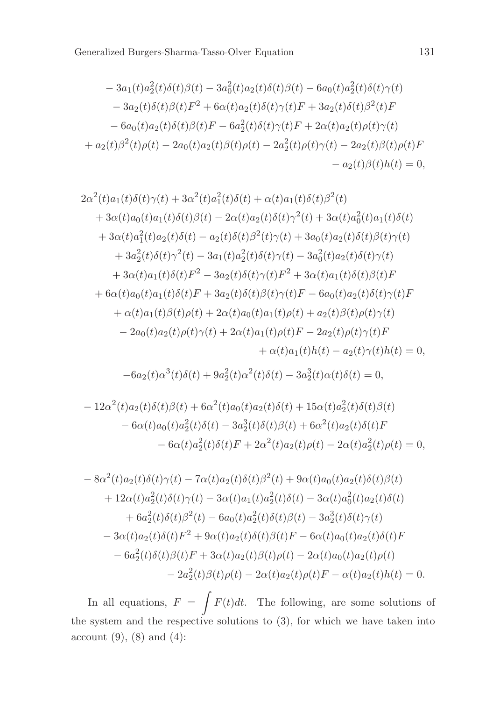$$
-3a_1(t)a_2(t)\delta(t)\beta(t) - 3a_0^2(t)a_2(t)\delta(t)\beta(t) - 6a_0(t)a_2^2(t)\delta(t)\gamma(t) - 3a_2(t)\delta(t)\beta(t)F^2 + 6\alpha(t)a_2(t)\delta(t)\gamma(t)F + 3a_2(t)\delta(t)\beta^2(t)F - 6a_0(t)a_2(t)\delta(t)\beta(t)F - 6a_2^2(t)\delta(t)\gamma(t)F + 2\alpha(t)a_2(t)\rho(t)\gamma(t) + a_2(t)\beta^2(t)\rho(t) - 2a_0(t)a_2(t)\beta(t)\rho(t) - 2a_2^2(t)\rho(t)\gamma(t) - 2a_2(t)\beta(t)\rho(t)F - a_2(t)\beta(t)h(t) = 0,
$$

$$
2\alpha^{2}(t)a_{1}(t)\delta(t)\gamma(t) + 3\alpha^{2}(t)a_{1}^{2}(t)\delta(t) + \alpha(t)a_{1}(t)\delta(t)\beta^{2}(t)
$$
  
+  $3\alpha(t)a_{0}(t)a_{1}(t)\delta(t)\beta(t) - 2\alpha(t)a_{2}(t)\delta(t)\gamma^{2}(t) + 3\alpha(t)a_{0}^{2}(t)a_{1}(t)\delta(t)$   
+  $3\alpha(t)a_{1}^{2}(t)a_{2}(t)\delta(t) - a_{2}(t)\delta(t)\beta^{2}(t)\gamma(t) + 3a_{0}(t)a_{2}(t)\delta(t)\beta(t)\gamma(t)$   
+  $3a_{2}^{2}(t)\delta(t)\gamma^{2}(t) - 3a_{1}(t)a_{2}^{2}(t)\delta(t)\gamma(t) - 3a_{0}^{2}(t)a_{2}(t)\delta(t)\gamma(t)$   
+  $3\alpha(t)a_{1}(t)\delta(t)F^{2} - 3a_{2}(t)\delta(t)\gamma(t)F^{2} + 3\alpha(t)a_{1}(t)\delta(t)\beta(t)F$   
+  $6\alpha(t)a_{0}(t)a_{1}(t)\delta(t)F + 3a_{2}(t)\delta(t)\beta(t)\gamma(t)F - 6a_{0}(t)a_{2}(t)\delta(t)\gamma(t)F$   
+  $\alpha(t)a_{1}(t)\beta(t)\rho(t) + 2\alpha(t)a_{0}(t)a_{1}(t)\rho(t) + a_{2}(t)\beta(t)\rho(t)\gamma(t)$   
-  $2a_{0}(t)a_{2}(t)\rho(t)\gamma(t) + 2\alpha(t)a_{1}(t)\rho(t)F - 2a_{2}(t)\rho(t)\gamma(t)F$   
+  $\alpha(t)a_{1}(t)h(t) - a_{2}(t)\gamma(t)h(t) = 0,$ 

$$
-6a_2(t)\alpha^3(t)\delta(t) + 9a_2^2(t)\alpha^2(t)\delta(t) - 3a_2^3(t)\alpha(t)\delta(t) = 0,
$$

$$
- 12\alpha^2(t)a_2(t)\delta(t)\beta(t) + 6\alpha^2(t)a_0(t)a_2(t)\delta(t) + 15\alpha(t)a_2^2(t)\delta(t)\beta(t) - 6\alpha(t)a_0(t)a_2^2(t)\delta(t) - 3a_2^3(t)\delta(t)\beta(t) + 6\alpha^2(t)a_2(t)\delta(t)F - 6\alpha(t)a_2^2(t)\delta(t)F + 2\alpha^2(t)a_2(t)\rho(t) - 2\alpha(t)a_2^2(t)\rho(t) = 0,
$$

$$
-8\alpha^{2}(t)a_{2}(t)\delta(t)\gamma(t) - 7\alpha(t)a_{2}(t)\delta(t)\beta^{2}(t) + 9\alpha(t)a_{0}(t)a_{2}(t)\delta(t)\beta(t) + 12\alpha(t)a_{2}^{2}(t)\delta(t)\gamma(t) - 3\alpha(t)a_{1}(t)a_{2}^{2}(t)\delta(t) - 3\alpha(t)a_{0}^{2}(t)a_{2}(t)\delta(t) + 6a_{2}^{2}(t)\delta(t)\beta^{2}(t) - 6a_{0}(t)a_{2}^{2}(t)\delta(t)\beta(t) - 3a_{2}^{3}(t)\delta(t)\gamma(t) - 3\alpha(t)a_{2}(t)\delta(t)F^{2} + 9\alpha(t)a_{2}(t)\delta(t)\beta(t)F - 6\alpha(t)a_{0}(t)a_{2}(t)\delta(t)F - 6a_{2}^{2}(t)\delta(t)\beta(t)F + 3\alpha(t)a_{2}(t)\beta(t)\rho(t) - 2\alpha(t)a_{0}(t)a_{2}(t)\rho(t) - 2a_{2}^{2}(t)\beta(t)\rho(t) - 2\alpha(t)a_{2}(t)\rho(t)F - \alpha(t)a_{2}(t)h(t) = 0.
$$

In all equations,  $F = \int F(t)dt$ . The following, are some solutions of the system and the respective solutions to (3), for which we have taken into account  $(9)$ ,  $(8)$  and  $(4)$ :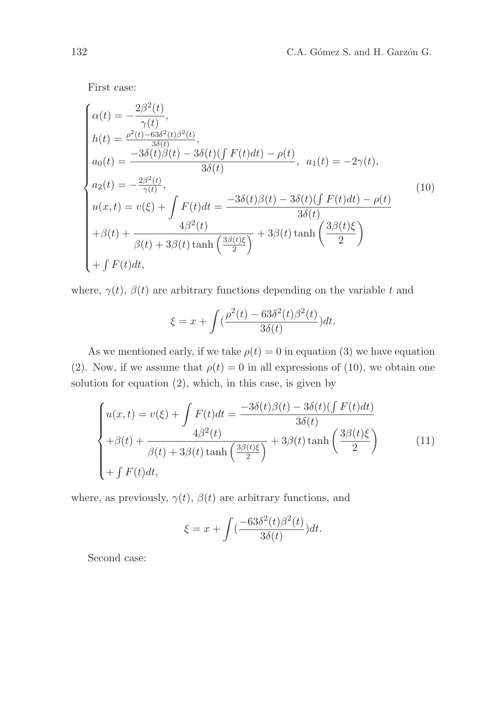First case:

$$
\begin{cases}\n\alpha(t) = -\frac{2\beta^2(t)}{\gamma(t)},\\ \nh(t) = \frac{\rho^2(t) - 63\delta^2(t)\beta^2(t)}{3\delta(t)},\\ \na_0(t) = \frac{-3\delta(t)\beta(t) - 3\delta(t)(\int F(t)dt) - \rho(t)}{3\delta(t)}, \quad a_1(t) = -2\gamma(t),\\ \na_2(t) = -\frac{2\beta^2(t)}{\gamma(t)},\\ \nu(x, t) = v(\xi) + \int F(t)dt = \frac{-3\delta(t)\beta(t) - 3\delta(t)(\int F(t)dt) - \rho(t)}{3\delta(t)}\\ + \beta(t) + \frac{4\beta^2(t)}{\beta(t) + 3\beta(t)\tanh\left(\frac{3\beta(t)\xi}{2}\right)} + 3\beta(t)\tanh\left(\frac{3\beta(t)\xi}{2}\right)\\ + \int F(t)dt,\n\end{cases}
$$
\n(10)

where,  $\gamma(t)$ ,  $\beta(t)$  are arbitrary functions depending on the variable t and

$$
\xi = x + \int \left(\frac{\rho^2(t) - 63\delta^2(t)\beta^2(t)}{3\delta(t)}\right)dt.
$$

As we mentioned early, if we take  $\rho(t) = 0$  in equation (3) we have equation (2). Now, if we assume that  $\rho(t) = 0$  in all expressions of (10), we obtain one solution for equation (2), which, in this case, is given by

$$
\begin{cases}\nu(x,t) = \nu(\xi) + \int F(t)dt = \frac{-3\delta(t)\beta(t) - 3\delta(t)(\int F(t)dt)}{3\delta(t)} \\
+\beta(t) + \frac{4\beta^2(t)}{\beta(t) + 3\beta(t)\tanh\left(\frac{3\beta(t)\xi}{2}\right)} + 3\beta(t)\tanh\left(\frac{3\beta(t)\xi}{2}\right) \\
+f F(t)dt,\n\end{cases} \tag{11}
$$

where, as previously,  $\gamma(t)$ ,  $\beta(t)$  are arbitrary functions, and

$$
\xi = x + \int \left(\frac{-63\delta^2(t)\beta^2(t)}{3\delta(t)}\right)dt.
$$

Second case: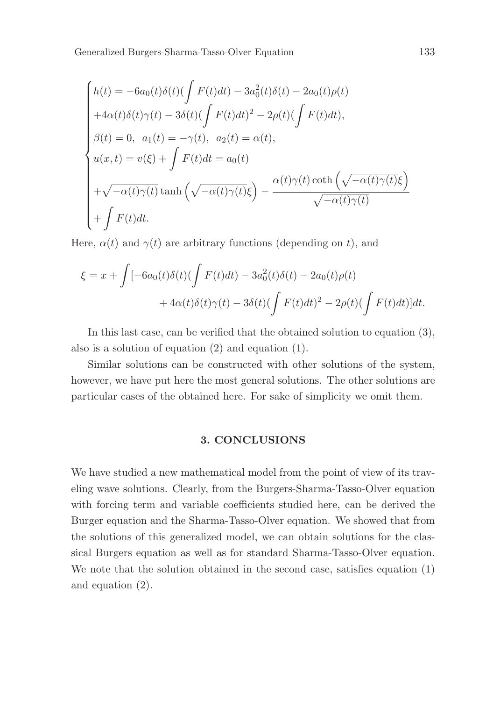Generalized Burgers-Sharma-Tasso-Olver Equation 133

$$
\begin{cases}\nh(t) = -6a_0(t)\delta(t)\left(\int F(t)dt\right) - 3a_0^2(t)\delta(t) - 2a_0(t)\rho(t) \\
+4\alpha(t)\delta(t)\gamma(t) - 3\delta(t)\left(\int F(t)dt\right)^2 - 2\rho(t)\left(\int F(t)dt\right), \\
\beta(t) = 0, \ \ a_1(t) = -\gamma(t), \ \ a_2(t) = \alpha(t), \\
u(x,t) = v(\xi) + \int F(t)dt = a_0(t) \\
+\sqrt{-\alpha(t)\gamma(t)}\tanh\left(\sqrt{-\alpha(t)\gamma(t)}\xi\right) - \frac{\alpha(t)\gamma(t)\coth\left(\sqrt{-\alpha(t)\gamma(t)}\xi\right)}{\sqrt{-\alpha(t)\gamma(t)}} \\
+\int F(t)dt.\n\end{cases}
$$

Here,  $\alpha(t)$  and  $\gamma(t)$  are arbitrary functions (depending on t), and

$$
\xi = x + \int [-6a_0(t)\delta(t)(\int F(t)dt) - 3a_0^2(t)\delta(t) - 2a_0(t)\rho(t) + 4\alpha(t)\delta(t)\gamma(t) - 3\delta(t)(\int F(t)dt)^2 - 2\rho(t)(\int F(t)dt)]dt.
$$

In this last case, can be verified that the obtained solution to equation (3), also is a solution of equation (2) and equation (1).

Similar solutions can be constructed with other solutions of the system, however, we have put here the most general solutions. The other solutions are particular cases of the obtained here. For sake of simplicity we omit them.

## 3. CONCLUSIONS

We have studied a new mathematical model from the point of view of its traveling wave solutions. Clearly, from the Burgers-Sharma-Tasso-Olver equation with forcing term and variable coefficients studied here, can be derived the Burger equation and the Sharma-Tasso-Olver equation. We showed that from the solutions of this generalized model, we can obtain solutions for the classical Burgers equation as well as for standard Sharma-Tasso-Olver equation. We note that the solution obtained in the second case, satisfies equation (1) and equation (2).